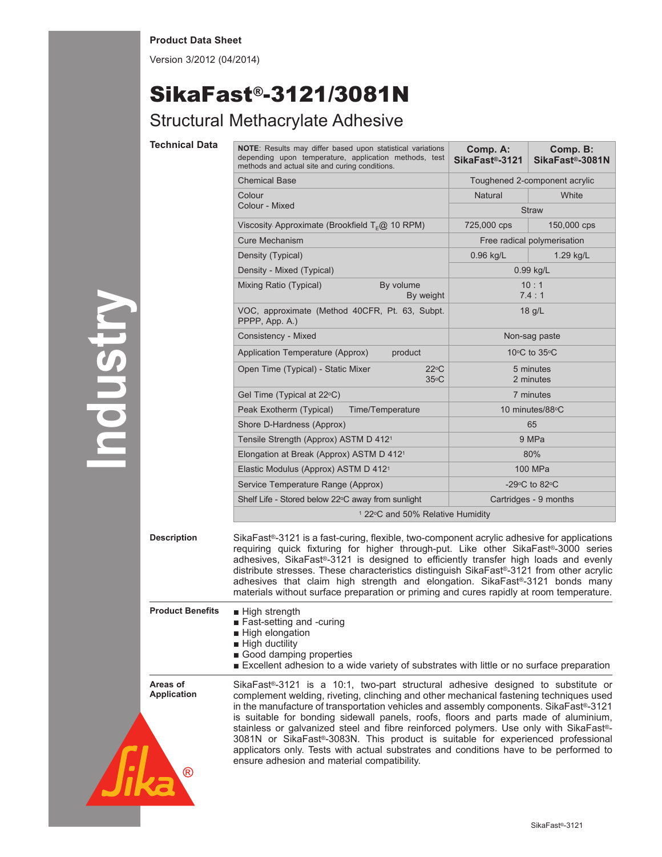## **Product Data Sheet**

Version 3/2012 (04/2014)

## SikaFast®-3121/3081N

## Structural Methacrylate Adhesive

| <b>Technical Data</b>                          | <b>NOTE:</b> Results may differ based upon statistical variations<br>depending upon temperature, application methods, test<br>methods and actual site and curing conditions.                                                                                                                                                                                                                                                                                                                                                                                                                                                                                                                | Comp. A:<br>SikaFast®-3121    | Comp. B:<br>SikaFast®-3081N   |
|------------------------------------------------|---------------------------------------------------------------------------------------------------------------------------------------------------------------------------------------------------------------------------------------------------------------------------------------------------------------------------------------------------------------------------------------------------------------------------------------------------------------------------------------------------------------------------------------------------------------------------------------------------------------------------------------------------------------------------------------------|-------------------------------|-------------------------------|
|                                                | <b>Chemical Base</b>                                                                                                                                                                                                                                                                                                                                                                                                                                                                                                                                                                                                                                                                        |                               | Toughened 2-component acrylic |
|                                                | Colour<br>Colour - Mixed                                                                                                                                                                                                                                                                                                                                                                                                                                                                                                                                                                                                                                                                    | <b>Natural</b>                | White                         |
|                                                |                                                                                                                                                                                                                                                                                                                                                                                                                                                                                                                                                                                                                                                                                             |                               | <b>Straw</b>                  |
|                                                | Viscosity Approximate (Brookfield $TF@10$ RPM)                                                                                                                                                                                                                                                                                                                                                                                                                                                                                                                                                                                                                                              | 725,000 cps                   | 150,000 cps                   |
|                                                | <b>Cure Mechanism</b>                                                                                                                                                                                                                                                                                                                                                                                                                                                                                                                                                                                                                                                                       |                               | Free radical polymerisation   |
|                                                | Density (Typical)                                                                                                                                                                                                                                                                                                                                                                                                                                                                                                                                                                                                                                                                           | $0.96$ kg/L                   | 1.29 kg/L                     |
|                                                | Density - Mixed (Typical)                                                                                                                                                                                                                                                                                                                                                                                                                                                                                                                                                                                                                                                                   | 0.99 kg/L                     |                               |
|                                                | Mixing Ratio (Typical)<br>By volume<br>By weight                                                                                                                                                                                                                                                                                                                                                                                                                                                                                                                                                                                                                                            | 10:1<br>7.4:1                 |                               |
|                                                | VOC, approximate (Method 40CFR, Pt. 63, Subpt.<br>PPPP, App. A.)                                                                                                                                                                                                                                                                                                                                                                                                                                                                                                                                                                                                                            | 18 g/L                        |                               |
|                                                | Consistency - Mixed                                                                                                                                                                                                                                                                                                                                                                                                                                                                                                                                                                                                                                                                         | Non-sag paste                 |                               |
|                                                | Application Temperature (Approx)<br>product                                                                                                                                                                                                                                                                                                                                                                                                                                                                                                                                                                                                                                                 | 10 $\circ$ C to 35 $\circ$ C  |                               |
|                                                | $22^{\circ}$ C<br>Open Time (Typical) - Static Mixer<br>$35^{\circ}$ C                                                                                                                                                                                                                                                                                                                                                                                                                                                                                                                                                                                                                      | 5 minutes<br>2 minutes        |                               |
|                                                | Gel Time (Typical at 22°C)                                                                                                                                                                                                                                                                                                                                                                                                                                                                                                                                                                                                                                                                  | 7 minutes                     |                               |
|                                                | Peak Exotherm (Typical)<br>Time/Temperature                                                                                                                                                                                                                                                                                                                                                                                                                                                                                                                                                                                                                                                 | 10 minutes/88°C               |                               |
|                                                | Shore D-Hardness (Approx)                                                                                                                                                                                                                                                                                                                                                                                                                                                                                                                                                                                                                                                                   | 65                            |                               |
|                                                | Tensile Strength (Approx) ASTM D 412 <sup>1</sup>                                                                                                                                                                                                                                                                                                                                                                                                                                                                                                                                                                                                                                           | 9 MPa                         |                               |
|                                                | Elongation at Break (Approx) ASTM D 412 <sup>1</sup>                                                                                                                                                                                                                                                                                                                                                                                                                                                                                                                                                                                                                                        | 80%                           |                               |
|                                                | Elastic Modulus (Approx) ASTM D 412 <sup>1</sup>                                                                                                                                                                                                                                                                                                                                                                                                                                                                                                                                                                                                                                            | 100 MPa                       |                               |
|                                                | Service Temperature Range (Approx)                                                                                                                                                                                                                                                                                                                                                                                                                                                                                                                                                                                                                                                          | -29 $\circ$ C to 82 $\circ$ C |                               |
|                                                | Shelf Life - Stored below 22°C away from sunlight                                                                                                                                                                                                                                                                                                                                                                                                                                                                                                                                                                                                                                           | Cartridges - 9 months         |                               |
|                                                | <sup>1</sup> 22°C and 50% Relative Humidity                                                                                                                                                                                                                                                                                                                                                                                                                                                                                                                                                                                                                                                 |                               |                               |
| <b>Description</b>                             | SikaFast <sup>®</sup> -3121 is a fast-curing, flexible, two-component acrylic adhesive for applications<br>requiring quick fixturing for higher through-put. Like other SikaFast®-3000 series<br>adhesives, SikaFast®-3121 is designed to efficiently transfer high loads and evenly<br>distribute stresses. These characteristics distinguish SikaFast®-3121 from other acrylic<br>adhesives that claim high strength and elongation. SikaFast®-3121 bonds many<br>materials without surface preparation or priming and cures rapidly at room temperature.                                                                                                                                 |                               |                               |
| <b>Product Benefits</b>                        | High strength<br>■ Fast-setting and -curing<br>High elongation<br>$\blacksquare$ High ductility<br>Good damping properties<br>Excellent adhesion to a wide variety of substrates with little or no surface preparation                                                                                                                                                                                                                                                                                                                                                                                                                                                                      |                               |                               |
| Areas of<br><b>Application</b><br>$^\circledR$ | SikaFast <sup>®</sup> -3121 is a 10:1, two-part structural adhesive designed to substitute or<br>complement welding, riveting, clinching and other mechanical fastening techniques used<br>in the manufacture of transportation vehicles and assembly components. SikaFast®-3121<br>is suitable for bonding sidewall panels, roofs, floors and parts made of aluminium,<br>stainless or galvanized steel and fibre reinforced polymers. Use only with SikaFast®-<br>3081N or SikaFast®-3083N. This product is suitable for experienced professional<br>applicators only. Tests with actual substrates and conditions have to be performed to<br>ensure adhesion and material compatibility. |                               |                               |